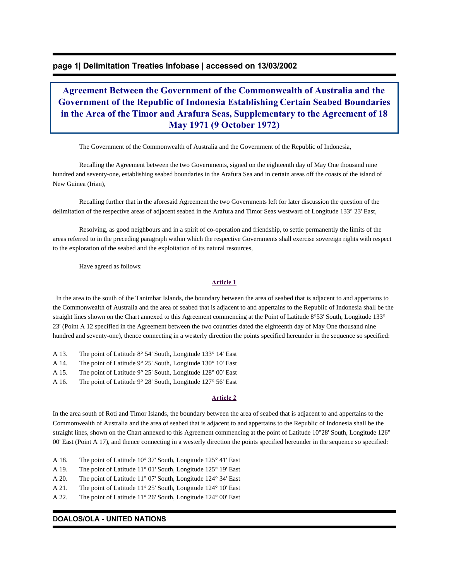# **page 1| Delimitation Treaties Infobase | accessed on 13/03/2002**

# **Agreement Between the Government of the Commonwealth of Australia and the Government of the Republic of Indonesia Establishing Certain Seabed Boundaries in the Area of the Timor and Arafura Seas, Supplementary to the Agreement of 18 May 1971 (9 October 1972)**

The Government of the Commonwealth of Australia and the Government of the Republic of Indonesia,

 Recalling the Agreement between the two Governments, signed on the eighteenth day of May One thousand nine hundred and seventy-one, establishing seabed boundaries in the Arafura Sea and in certain areas off the coasts of the island of New Guinea (Irian),

 Recalling further that in the aforesaid Agreement the two Governments left for later discussion the question of the delimitation of the respective areas of adjacent seabed in the Arafura and Timor Seas westward of Longitude 133° 23' East,

 Resolving, as good neighbours and in a spirit of co-operation and friendship, to settle permanently the limits of the areas referred to in the preceding paragraph within which the respective Governments shall exercise sovereign rights with respect to the exploration of the seabed and the exploitation of its natural resources,

Have agreed as follows:

#### **Article 1**

 In the area to the south of the Tanimbar Islands, the boundary between the area of seabed that is adjacent to and appertains to the Commonwealth of Australia and the area of seabed that is adjacent to and appertains to the Republic of Indonesia shall be the straight lines shown on the Chart annexed to this Agreement commencing at the Point of Latitude 8°53' South, Longitude 133° 23' (Point A 12 specified in the Agreement between the two countries dated the eighteenth day of May One thousand nine hundred and seventy-one), thence connecting in a westerly direction the points specified hereunder in the sequence so specified:

- A 13. The point of Latitude 8° 54' South, Longitude 133° 14' East
- A 14. The point of Latitude 9° 25' South, Longitude 130° 10' East
- A 15. The point of Latitude 9° 25' South, Longitude 128° 00' East
- A 16. The point of Latitude 9° 28' South, Longitude 127° 56' East

#### **Article 2**

In the area south of Roti and Timor Islands, the boundary between the area of seabed that is adjacent to and appertains to the Commonwealth of Australia and the area of seabed that is adjacent to and appertains to the Republic of Indonesia shall be the straight lines, shown on the Chart annexed to this Agreement commencing at the point of Latitude 10°28' South, Longitude 126° 00' East (Point A 17), and thence connecting in a westerly direction the points specified hereunder in the sequence so specified:

- A 18. The point of Latitude 10° 37' South, Longitude 125° 41' East
- A 19. The point of Latitude 11° 01' South, Longitude 125° 19' East
- A 20. The point of Latitude 11° 07' South, Longitude 124° 34' East
- A 21. The point of Latitude 11° 25' South, Longitude 124° 10' East
- A 22. The point of Latitude 11° 26' South, Longitude 124° 00' East

### **DOALOS/OLA - UNITED NATIONS**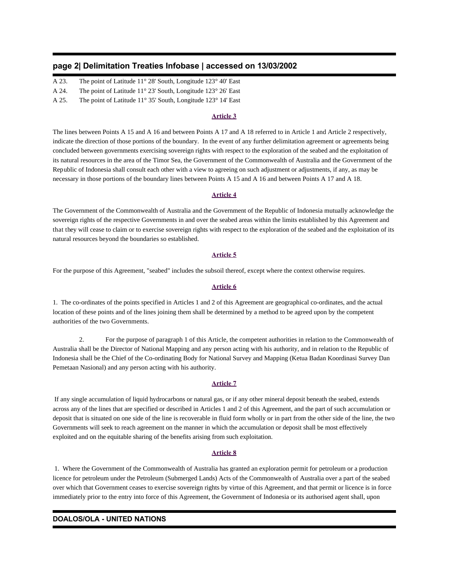# **page 2| Delimitation Treaties Infobase | accessed on 13/03/2002**

- A 23. The point of Latitude 11° 28' South, Longitude 123° 40' East
- A 24. The point of Latitude 11° 23' South, Longitude 123° 26' East

A 25. The point of Latitude 11° 35' South, Longitude 123° 14' East

### **Article 3**

The lines between Points A 15 and A 16 and between Points A 17 and A 18 referred to in Article 1 and Article 2 respectively, indicate the direction of those portions of the boundary. In the event of any further delimitation agreement or agreements being concluded between governments exercising sovereign rights with respect to the exploration of the seabed and the exploitation of its natural resources in the area of the Timor Sea, the Government of the Commonwealth of Australia and the Government of the Republic of Indonesia shall consult each other with a view to agreeing on such adjustment or adjustments, if any, as may be necessary in those portions of the boundary lines between Points A 15 and A 16 and between Points A 17 and A 18.

### **Article 4**

The Government of the Commonwealth of Australia and the Government of the Republic of Indonesia mutually acknowledge the sovereign rights of the respective Governments in and over the seabed areas within the limits established by this Agreement and that they will cease to claim or to exercise sovereign rights with respect to the exploration of the seabed and the exploitation of its natural resources beyond the boundaries so established.

#### **Article 5**

For the purpose of this Agreement, "seabed" includes the subsoil thereof, except where the context otherwise requires.

### **Article 6**

1. The co-ordinates of the points specified in Articles 1 and 2 of this Agreement are geographical co-ordinates, and the actual location of these points and of the lines joining them shall be determined by a method to be agreed upon by the competent authorities of the two Governments.

 2. For the purpose of paragraph 1 of this Article, the competent authorities in relation to the Commonwealth of Australia shall be the Director of National Mapping and any person acting with his authority, and in relation to the Republic of Indonesia shall be the Chief of the Co-ordinating Body for National Survey and Mapping (Ketua Badan Koordinasi Survey Dan Pemetaan Nasional) and any person acting with his authority.

### **Article 7**

 If any single accumulation of liquid hydrocarbons or natural gas, or if any other mineral deposit beneath the seabed, extends across any of the lines that are specified or described in Articles 1 and 2 of this Agreement, and the part of such accumulation or deposit that is situated on one side of the line is recoverable in fluid form wholly or in part from the other side of the line, the two Governments will seek to reach agreement on the manner in which the accumulation or deposit shall be most effectively exploited and on the equitable sharing of the benefits arising from such exploitation.

### **Article 8**

 1. Where the Government of the Commonwealth of Australia has granted an exploration permit for petroleum or a production licence for petroleum under the Petroleum (Submerged Lands) Acts of the Commonwealth of Australia over a part of the seabed over which that Government ceases to exercise sovereign rights by virtue of this Agreement, and that permit or licence is in force immediately prior to the entry into force of this Agreement, the Government of Indonesia or its authorised agent shall, upon

# **DOALOS/OLA - UNITED NATIONS**